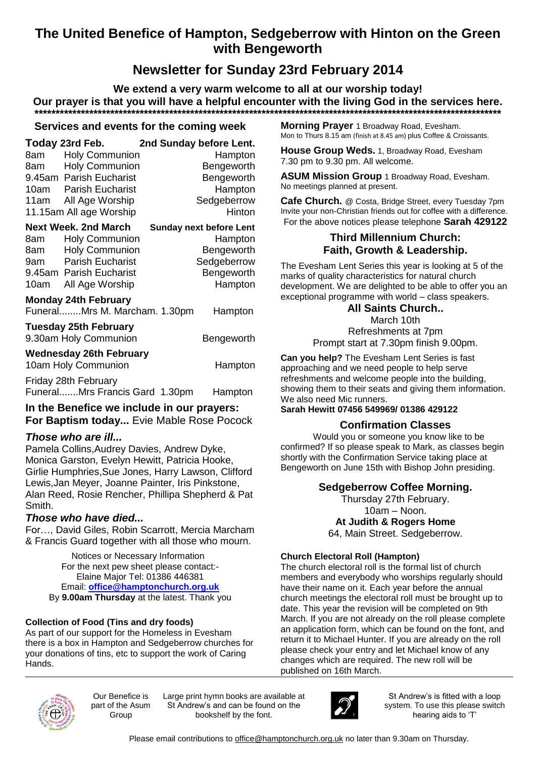## **The United Benefice of Hampton, Sedgeberrow with Hinton on the Green with Bengeworth**

# **Newsletter for Sunday 23rd February 2014**

**We extend a very warm welcome to all at our worship today! Our prayer is that you will have a helpful encounter with the living God in the services here. \*\*\*\*\*\*\*\*\*\*\*\*\*\*\*\*\*\*\*\*\*\*\*\*\*\*\*\*\*\*\*\*\*\*\*\*\*\*\*\*\*\*\*\*\*\*\*\*\*\*\*\*\*\*\*\*\*\*\*\*\*\*\*\*\*\*\*\*\*\*\*\*\*\*\*\*\*\*\*\*\*\*\*\*\*\*\*\*\*\*\*\*\*\*\*\*\*\*\*\*\*\*\*\*\*\*\*\*\*\*\***

## **Services and events for the coming week**

| 8am l<br>8am —                                                                                                                                 | Today 23rd Feb. 2nd Sunday before Lent.<br><b>Holy Communion</b><br><b>Holy Communion</b><br>9.45am Parish Eucharist<br>10am Parish Eucharist<br>11am All Age Worship<br>11.15am All age Worship |  | Hampton<br>Bengeworth<br>Bengeworth<br>Hampton<br>Sedgeberrow<br>Hinton                         |
|------------------------------------------------------------------------------------------------------------------------------------------------|--------------------------------------------------------------------------------------------------------------------------------------------------------------------------------------------------|--|-------------------------------------------------------------------------------------------------|
| 8am -<br>8am —<br>10am                                                                                                                         | Next Week. 2nd March<br><b>Holy Communion</b><br><b>Holy Communion</b><br>9am Parish Eucharist<br>9.45am Parish Eucharist<br>All Age Worship                                                     |  | <b>Sunday next before Lent</b><br>Hampton<br>Bengeworth<br>Sedgeberrow<br>Bengeworth<br>Hampton |
| <b>Monday 24th February</b><br>FuneralMrs M. Marcham. 1.30pm<br>Hampton<br><b>Tuesday 25th February</b><br>9.30am Holy Communion<br>Bengeworth |                                                                                                                                                                                                  |  |                                                                                                 |
| Wednesday 26th February<br>10am Holy Communion<br>Hampton<br>Friday 28th February                                                              |                                                                                                                                                                                                  |  |                                                                                                 |

Funeral.......Mrs Francis Gard 1.30pm Hampton

**In the Benefice we include in our prayers: For Baptism today...** Evie Mable Rose Pocock

## *Those who are ill...*

Pamela Collins,Audrey Davies, Andrew Dyke, Monica Garston, Evelyn Hewitt, Patricia Hooke, Girlie Humphries,Sue Jones, Harry Lawson, Clifford Lewis,Jan Meyer, Joanne Painter, Iris Pinkstone, Alan Reed, Rosie Rencher, Phillipa Shepherd & Pat Smith.

## *Those who have died...*

For…, David Giles, Robin Scarrott, Mercia Marcham & Francis Guard together with all those who mourn.

> Notices or Necessary Information For the next pew sheet please contact:- Elaine Major Tel: 01386 446381 Email: **[office@hamptonchurch.org.uk](mailto:office@hamptonchurch.org.uk)** By **9.00am Thursday** at the latest. Thank you

## **Collection of Food (Tins and dry foods)**

As part of our support for the Homeless in Evesham there is a box in Hampton and Sedgeberrow churches for your donations of tins, etc to support the work of Caring Hands.

**Morning Prayer** 1 Broadway Road, Evesham. Mon to Thurs 8.15 am (finish at 8.45 am) plus Coffee & Croissants.

**House Group Weds.** 1, Broadway Road, Evesham 7.30 pm to 9.30 pm. All welcome.

**ASUM Mission Group** 1 Broadway Road, Evesham. No meetings planned at present.

**Cafe Church.** @ Costa, Bridge Street, every Tuesday 7pm Invite your non-Christian friends out for coffee with a difference. For the above notices please telephone **Sarah 429122**

#### **Third Millennium Church: Faith, Growth & Leadership.**

The Evesham Lent Series this year is looking at 5 of the marks of quality characteristics for natural church development. We are delighted to be able to offer you an exceptional programme with world – class speakers.

#### **All Saints Church..**

March 10th Refreshments at 7pm Prompt start at 7.30pm finish 9.00pm.

**Can you help?** The Evesham Lent Series is fast approaching and we need people to help serve refreshments and welcome people into the building, showing them to their seats and giving them information. We also need Mic runners.

**Sarah Hewitt 07456 549969/ 01386 429122**

## **Confirmation Classes**

Would you or someone you know like to be confirmed? If so please speak to Mark, as classes begin shortly with the Confirmation Service taking place at Bengeworth on June 15th with Bishop John presiding.

## **Sedgeberrow Coffee Morning.**

Thursday 27th February. 10am – Noon. **At Judith & Rogers Home** 64, Main Street. Sedgeberrow.

#### **Church Electoral Roll (Hampton)**

The church electoral roll is the formal list of church members and everybody who worships regularly should have their name on it. Each year before the annual church meetings the electoral roll must be brought up to date. This year the revision will be completed on 9th March. If you are not already on the roll please complete an application form, which can be found on the font, and return it to Michael Hunter. If you are already on the roll please check your entry and let Michael know of any changes which are required. The new roll will be published on 16th March.



Our Benefice is part of the Asum Group

Large print hymn books are available at St Andrew's and can be found on the bookshelf by the font.



St Andrew's is fitted with a loop system. To use this please switch hearing aids to 'T'